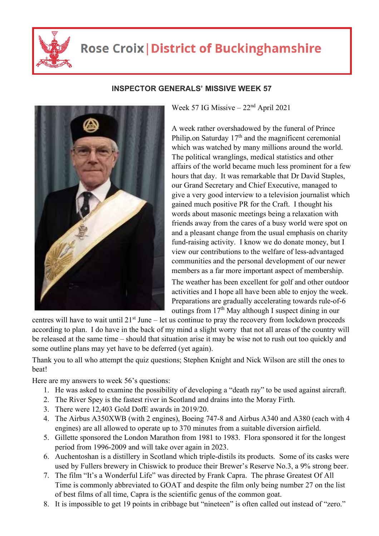

## **Rose Croix | District of Buckinghamshire**



## **INSPECTOR GENERALS' MISSIVE WEEK 57**

Week 57 IG Missive  $-22<sup>nd</sup>$  April 2021

A week rather overshadowed by the funeral of Prince Philip.on Saturday  $17<sup>th</sup>$  and the magnificent ceremonial which was watched by many millions around the world. The political wranglings, medical statistics and other affairs of the world became much less prominent for a few hours that day. It was remarkable that Dr David Staples, our Grand Secretary and Chief Executive, managed to give a very good interview to a television journalist which gained much positive PR for the Craft. I thought his words about masonic meetings being a relaxation with friends away from the cares of a busy world were spot on and a pleasant change from the usual emphasis on charity fund-raising activity. I know we do donate money, but I view our contributions to the welfare of less-advantaged communities and the personal development of our newer members as a far more important aspect of membership.

The weather has been excellent for golf and other outdoor activities and I hope all have been able to enjoy the week. Preparations are gradually accelerating towards rule-of-6 outings from  $17<sup>th</sup>$  May although I suspect dining in our

centres will have to wait until  $21<sup>st</sup>$  June – let us continue to pray the recovery from lockdown proceeds according to plan. I do have in the back of my mind a slight worry that not all areas of the country will be released at the same time – should that situation arise it may be wise not to rush out too quickly and some outline plans may yet have to be deferred (yet again).

Thank you to all who attempt the quiz questions; Stephen Knight and Nick Wilson are still the ones to beat!

Here are my answers to week 56's questions:

- 1. He was asked to examine the possibility of developing a "death ray" to be used against aircraft.
- 2. The River Spey is the fastest river in Scotland and drains into the Moray Firth.
- 3. There were 12,403 Gold DofE awards in 2019/20.
- 4. The Airbus A350XWB (with 2 engines), Boeing 747-8 and Airbus A340 and A380 (each with 4 engines) are all allowed to operate up to 370 minutes from a suitable diversion airfield.
- 5. Gillette sponsored the London Marathon from 1981 to 1983. Flora sponsored it for the longest period from 1996-2009 and will take over again in 2023.
- 6. Auchentoshan is a distillery in Scotland which triple-distils its products. Some of its casks were used by Fullers brewery in Chiswick to produce their Brewer's Reserve No.3, a 9% strong beer.
- 7. The film "It's a Wonderful Life" was directed by Frank Capra. The phrase Greatest Of All Time is commonly abbreviated to GOAT and despite the film only being number 27 on the list of best films of all time, Capra is the scientific genus of the common goat.
- 8. It is impossible to get 19 points in cribbage but "nineteen" is often called out instead of "zero."